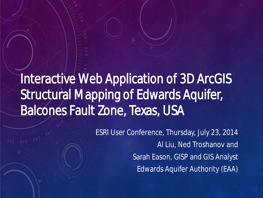# Interactive Web Application of 3D ArcGIS Structural Mapping of Edwards Aquifer, Balcones Fault Zone, Texas, USA

ESRI User Conference, Thursday, July 23, 2014 Al Liu, Ned Troshanov and Sarah Eason, GISP and GIS Analyst Edwards Aquifer Authority (EAA)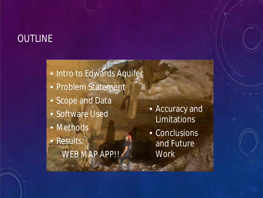## **OUTLINE**

• Intro to Edwards Aquifer

- Problem Statement
- Scope and Data
- Software Used
- Methods
- Results:

WEB MAP APP!!

- Accuracy and Limitations
- Conclusions and Future **Work**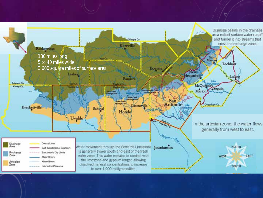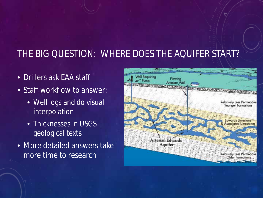# THE BIG QUESTION: WHERE DOES THE AQUIFER START?

- Drillers ask EAA staff
- Staff workflow to answer:
	- Well logs and do visual interpolation
	- Thicknesses in USGS geological texts
- More detailed answers take more time to research

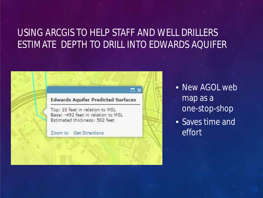### USING ARCGIS TO HELP STAFF AND WELL DRILLERS ESTIMATE DEPTH TO DRILL INTO EDWARDS AQUIFER

ПX

#### **Edwards Aquifer Predicted Surfaces**

Top: 10 feet in relation to MSL Base: -492 feet in relation to MSL Estimated thickness: 502 feet

Zoom to Get Directions

- New AGOL web map as a one-stop-shop
- Saves time and effort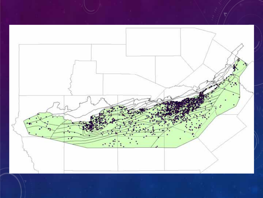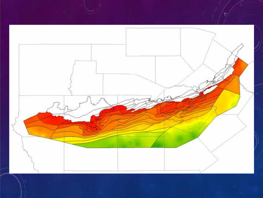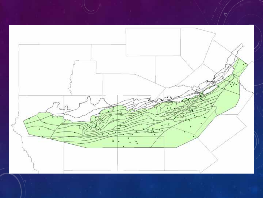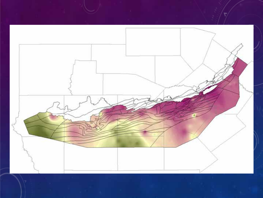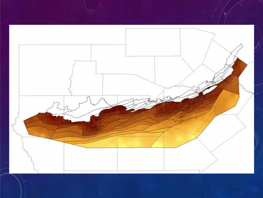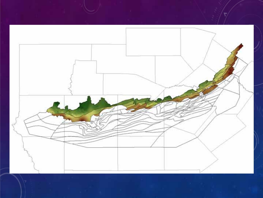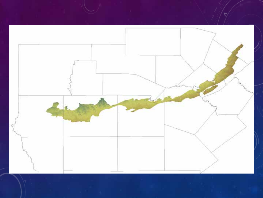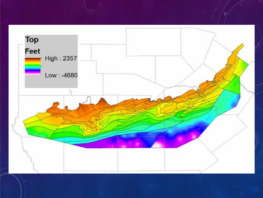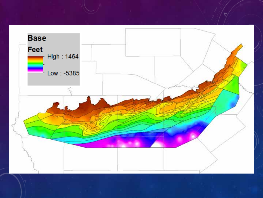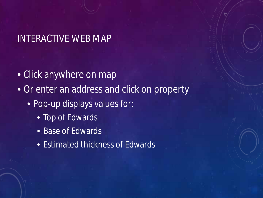#### INTERACTIVE WEB MAP

- Click anywhere on map
- Or enter an address and click on property
	- Pop-up displays values for:
		- Top of Edwards
		- Base of Edwards
		- Estimated thickness of Edwards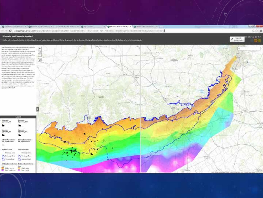#### Cinchindration Chandidate in Classical Adv . 1 Children 1 Channel 1 Channel County 1 Channel County 1 C **COLOR AND THE** 4 = C Deamptingtone appStoyedis played educated relations for the 175118.com has the common team means to the mean of 0.0 量 Where in the Edwards Aquiter? **Learned That A DARK**  $\rho$  -corres the fact that's actually the fit is thresh togetar proclamation as station and dates the property but the dentise of the top and been that streated the derivated the finding in but of the history is but of the history the information is this trap is to intrinsic an using him. 14,491 lest data confeber culte Belust (to 4 health) sustrained. This rest is be assistantic enterrorment Size yields this books have been proposed length ing. **MET**  $\overline{ }$ Arch sovers like sovers nod parented for Built mains away affort to provide and maintain. 41118-4121 ablyink tomates, uses and high marketer or  $\circ$ to subting required sizes are individually contrib-

or subtracted for reasons any of subscription of shared substantial holding in construct. prima anno Veroscono docentem, el deterio contribution on the best officials data and origination. exists are necessary at the ape. In extensions Information depresentation applicated with more imported by store other to of the unit. The UVA was let the tight to choice dependent in it, or contact price to be a consistent, any submit of the cars construct in this the "it initialize." receive a text that say strating the information side. according to the

×

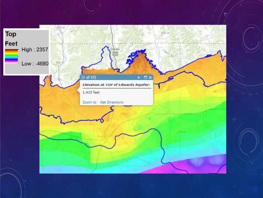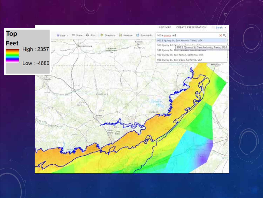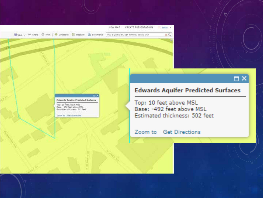

#### **Edwards Aquifer Predicted Surfaces**

Top: 10 feet above MSL Base: -492 feet above 3/5).<br>Estimated discliness: 302 feet

Zasm to Get Douctions

#### **Edwards Aquifer Predicted Surfaces**

 $\Box$   $\times$ 

Top: 10 feet above MSL<br>Base: -492 feet above MSL Estimated thickness: 502 feet

#### Zoom to Get Directions

 $\times Q$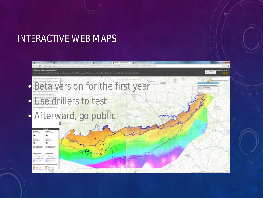## INTERACTIVE WEB MAPS

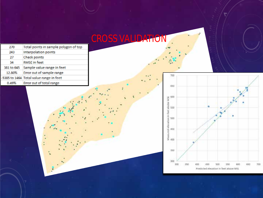## CROSS VALIDATION

| 270        | Total points in sample polygon of top  |
|------------|----------------------------------------|
| 243        | Interpolation points                   |
| 27         | <b>Check points</b>                    |
| 34         | RMSE in feet                           |
| 381 to 645 | Sample value range in feet             |
| 12.80%     | Error out of sample range              |
|            | 5385 to 1464 Total value range in feet |
| 0.49%      | Error out of total range               |

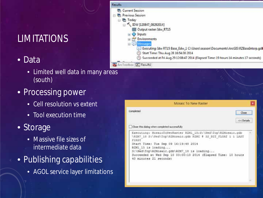## LIMITATIONS

#### • Data

- Limited well data in many areas (south)
- Processing power
	- Cell resolution vs extent
	- Tool execution time

#### • Storage

- Massive file sizes of intermediate data
- Publishing capabilities
	- AGOL service layer limitations

| <b>Results</b>                                                                                                                                                                                                                                                                            |  |
|-------------------------------------------------------------------------------------------------------------------------------------------------------------------------------------------------------------------------------------------------------------------------------------------|--|
| Current Session<br>Previous Session<br><b>El Today</b><br>DW [120847_08292014]<br>Output raster: Idw_RT15<br>Inputs<br>田<br>Environments<br><b>B</b> Messages<br>Executing: Idw RT15 Base_Edw_1 C:\Users\season\Documents\ArcGIS\RZBaseInterp.gdl<br>Start Time: Thu Aug 28 16:54:30 2014 |  |
| Succeeded at Fri Aug 29 12:08:47 2014 (Elapsed Time: 19 hours 14 minutes 17 seconds)<br>69.<br>ArcToolbox 4 Results                                                                                                                                                                       |  |

| Mosaic To New Raster                                                                                                                                                                                                                                                                                                                                                 |            |
|----------------------------------------------------------------------------------------------------------------------------------------------------------------------------------------------------------------------------------------------------------------------------------------------------------------------------------------------------------------------|------------|
|                                                                                                                                                                                                                                                                                                                                                                      | Close      |
|                                                                                                                                                                                                                                                                                                                                                                      | $x <$ Dela |
| Close this dialog when completed successfully<br>Executing: HossicToNewRaster RZM1 15:3:\Ned\Top\RZMosaic.gdb<br>\RZM7 18 S:\Ned\Top\RZMosaic.gdb RZMC # 32 BIT FLOAT 1 1 LAST<br>FIRST<br>Start Time: Tue Sep 09 16:19:48 2014<br>RZM1 15 is loading<br>S:\Ned\Top\RZMosaic.gdb\RZM7_18 is loading<br>Succeeded at Wed Sep 10 03:00:10 2014 (Elapsed Time: 10 hours |            |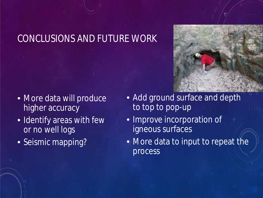## CONCLUSIONS AND FUTURE WORK

- More data will produce higher accuracy
- Identify areas with few or no well logs
- Seismic mapping?
- Add ground surface and depth to top to pop-up
- Improve incorporation of igneous surfaces
- More data to input to repeat the process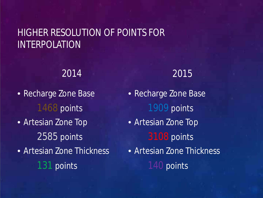## HIGHER RESOLUTION OF POINTS FOR INTERPOLATION

#### 2014

• Recharge Zone Base 1468 points • Artesian Zone Top 2585 points • Artesian Zone Thickness 131 points

#### 2015

- Recharge Zone Base 1909 points • Artesian Zone Top
	- 3108 points
- Artesian Zone Thickness 140 points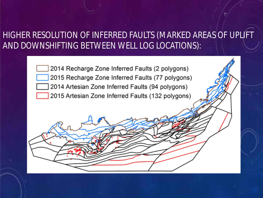#### HIGHER RESOLUTION OF INFERRED FAULTS (MARKED AREAS OF UPLIFT AND DOWNSHIFTING BETWEEN WELL LOG LOCATIONS):

- 2014 Recharge Zone Inferred Faults (2 polygons)
- 2015 Recharge Zone Inferred Faults (77 polygons)
- 2014 Artesian Zone Inferred Faults (94 polygons)
- 2015 Artesian Zone Inferred Faults (132 polygons)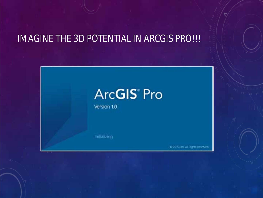## IMAGINE THE 3D POTENTIAL IN ARCGIS PRO!!!

# **ArcGIS** Pro

Version 1.0

Initializing

@ 2015 Esn. All Rights Reserved.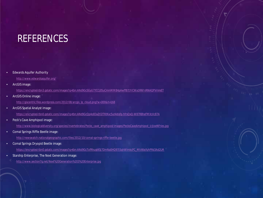#### REFERENCES

#### • Edwards Aquifer Authority

<http://www.edwardsaquifer.org/>

#### • ArcGIS image:

<https://encrypted-tbn3.gstatic.com/images?q=tbn:ANd9GcSGyU7YCCj05uCmmMMB4pAwffB7JYrCWa1RNf-liRNAQPVnVeET>

• ArcGIS Online image:

[http://giscentric.files.wordpress.com/2012/08/arcgis\\_lp\\_cloud.png?w=300&h=168](http://giscentric.files.wordpress.com/2012/08/arcgis_lp_cloud.png?w=300&h=168)

• ArcGIS Spatial Analyst image:

<https://encrypted-tbn0.gstatic.com/images?q=tbn:ANd9GcQp4oB3aZrl2lTKtKvc5ut4disfq-hfrsQxQ-W87R8heFMXcVc87A>

Peck's Cave Amphipod image:

[http://www.biologicaldiversity.org/species/invertebrates/Pecks\\_cave\\_amphipod/images/PecksCaveAmphipod\\_\(c\)JoeNFries.jpg](http://www.biologicaldiversity.org/species/invertebrates/Pecks_cave_amphipod/images/PecksCaveAmphipod_(c)JoeNFries.jpg)

• Comal Springs Riffle Beetle image:

<http://newswatch.nationalgeographic.com/files/2012/10/comal-springs-riffle-beetle.jpg>

• Comal Springs Dryopid Beetle image:

[https://encrypted-tbn0.gstatic.com/images?q=tbn:ANd9GcTofRhugtKSJ7DmNa0HQ97J5qhWImkcPC\\_MhXKeXyhPRd3Ad2LM](https://encrypted-tbn0.gstatic.com/images?q=tbn:ANd9GcTofRhugtKSJ7DmNa0HQ97J5qhWImkcPC_MhXKeXyhPRd3Ad2LM)

• Starship Enterprise, The Next Generation image:

<http://www.section7g.net/Next%20Generation%203%20Enterprise.jpg>